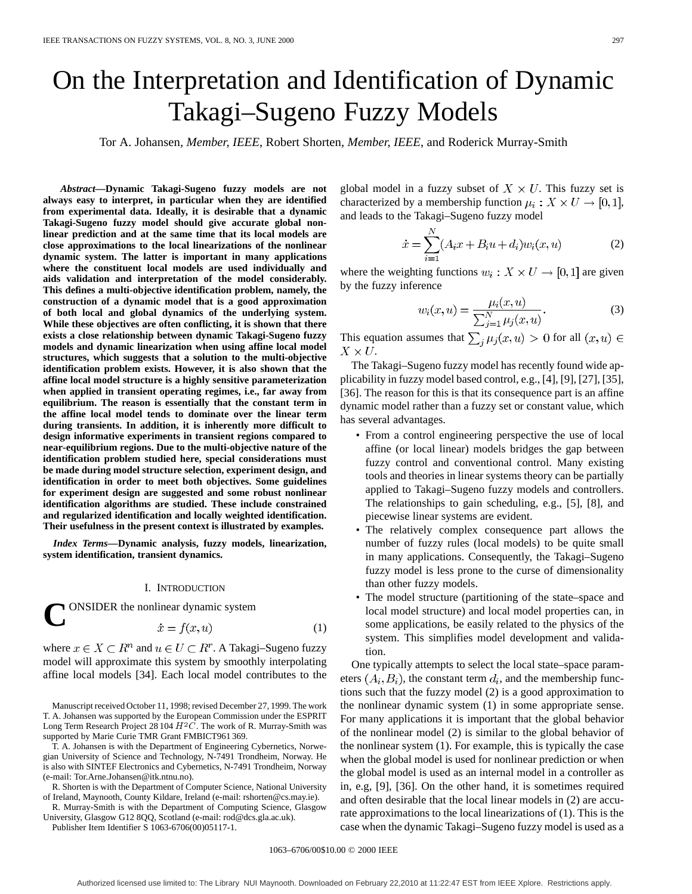# On the Interpretation and Identification of Dynamic Takagi–Sugeno Fuzzy Models

Tor A. Johansen*, Member, IEEE*, Robert Shorten*, Member, IEEE*, and Roderick Murray-Smith

*Abstract—***Dynamic Takagi-Sugeno fuzzy models are not always easy to interpret, in particular when they are identified from experimental data. Ideally, it is desirable that a dynamic Takagi-Sugeno fuzzy model should give accurate global nonlinear prediction and at the same time that its local models are close approximations to the local linearizations of the nonlinear dynamic system. The latter is important in many applications where the constituent local models are used individually and aids validation and interpretation of the model considerably. This defines a multi-objective identification problem, namely, the construction of a dynamic model that is a good approximation of both local and global dynamics of the underlying system. While these objectives are often conflicting, it is shown that there exists a close relationship between dynamic Takagi-Sugeno fuzzy models and dynamic linearization when using affine local model structures, which suggests that a solution to the multi-objective identification problem exists. However, it is also shown that the affine local model structure is a highly sensitive parameterization when applied in transient operating regimes, i.e., far away from equilibrium. The reason is essentially that the constant term in the affine local model tends to dominate over the linear term during transients. In addition, it is inherently more difficult to design informative experiments in transient regions compared to near-equilibrium regions. Due to the multi-objective nature of the identification problem studied here, special considerations must be made during model structure selection, experiment design, and identification in order to meet both objectives. Some guidelines for experiment design are suggested and some robust nonlinear identification algorithms are studied. These include constrained and regularized identification and locally weighted identification. Their usefulness in the present context is illustrated by examples.**

*Index Terms—***Dynamic analysis, fuzzy models, linearization, system identification, transient dynamics.**

#### I. INTRODUCTION

**CONSIDER** the nonlinear dynamic system<br> $\dot{x} = f(x, u)$ 

where  $x \in X \subset R^n$  and  $u \in U \subset R^r$ . A Takagi–Sugeno fuzzy model will approximate this system by smoothly interpolating affine local models [34]. Each local model contributes to the

Manuscript received October 11, 1998; revised December 27, 1999. The work T. A. Johansen was supported by the European Commission under the ESPRIT<br>Long Term Research Project 28 104  $H^2C$ . The work of R. Murray-Smith was supported by Marie Curie TMR Grant FMBICT961 369.

T. A. Johansen is with the Department of Engineering Cybernetics, Norwegian University of Science and Technology, N-7491 Trondheim, Norway. He is also with SINTEF Electronics and Cybernetics, N-7491 Trondheim, Norway (e-mail: Tor.Arne.Johansen@itk.ntnu.no).

R. Shorten is with the Department of Computer Science, National University of Ireland, Maynooth, County Kildare, Ireland (e-mail: rshorten@cs.may.ie).

R. Murray-Smith is with the Department of Computing Science, Glasgow University, Glasgow G12 8QQ, Scotland (e-mail: rod@dcs.gla.ac.uk).

Publisher Item Identifier S 1063-6706(00)05117-1.

global model in a fuzzy subset of  $X \times U$ . This fuzzy set is characterized by a membership function  $\mu_i : X \times U \to [0,1]$ , and leads to the Takagi–Sugeno fuzzy model

$$
\dot{x} = \sum_{i=1}^{N} (A_i x + B_i u + d_i) w_i(x, u)
$$
 (2)

where the weighting functions  $w_i : X \times U \rightarrow [0,1]$  are given by the fuzzy inference

$$
w_i(x, u) = \frac{\mu_i(x, u)}{\sum_{j=1}^{N} \mu_j(x, u)}.
$$
 (3)

This equation assumes that  $\sum_j \mu_j(x, u) > 0$  for all  $(x, u) \in$  $X \times U$ .

The Takagi–Sugeno fuzzy model has recently found wide applicability in fuzzy model based control, e.g., [4], [9], [27], [35], [36]. The reason for this is that its consequence part is an affine dynamic model rather than a fuzzy set or constant value, which has several advantages.

- From a control engineering perspective the use of local affine (or local linear) models bridges the gap between fuzzy control and conventional control. Many existing tools and theories in linear systems theory can be partially applied to Takagi–Sugeno fuzzy models and controllers. The relationships to gain scheduling, e.g., [5], [8], and piecewise linear systems are evident.
- The relatively complex consequence part allows the number of fuzzy rules (local models) to be quite small in many applications. Consequently, the Takagi–Sugeno fuzzy model is less prone to the curse of dimensionality than other fuzzy models.
- The model structure (partitioning of the state–space and local model structure) and local model properties can, in some applications, be easily related to the physics of the system. This simplifies model development and validation.

One typically attempts to select the local state–space parameters  $(A_i, B_i)$ , the constant term  $d_i$ , and the membership functions such that the fuzzy model (2) is a good approximation to the nonlinear dynamic system (1) in some appropriate sense. For many applications it is important that the global behavior of the nonlinear model (2) is similar to the global behavior of the nonlinear system (1). For example, this is typically the case when the global model is used for nonlinear prediction or when the global model is used as an internal model in a controller as in, e.g, [9], [36]. On the other hand, it is sometimes required and often desirable that the local linear models in (2) are accurate approximations to the local linearizations of (1). This is the case when the dynamic Takagi–Sugeno fuzzy model is used as a

(1)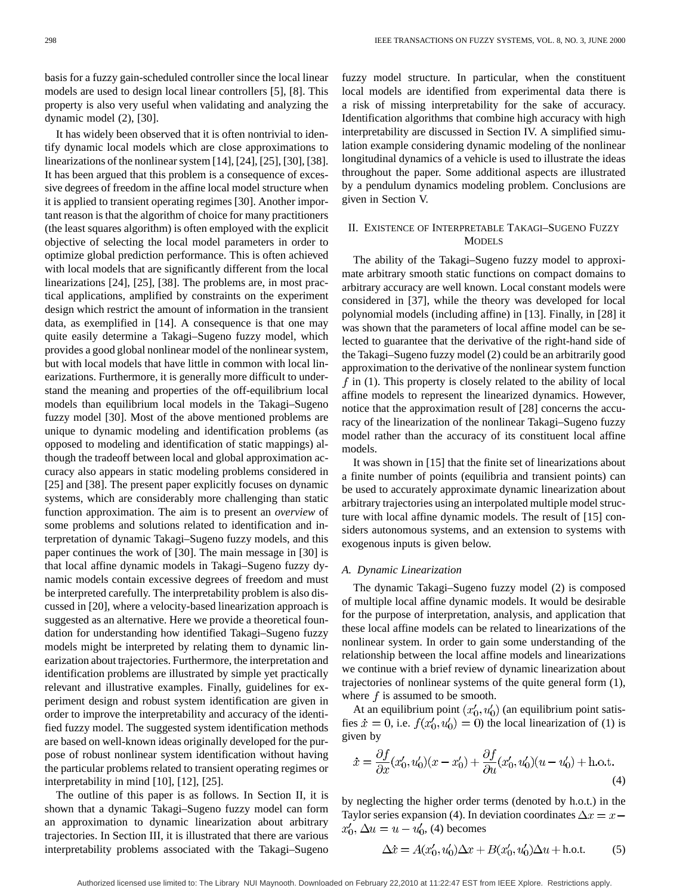basis for a fuzzy gain-scheduled controller since the local linear models are used to design local linear controllers [5], [8]. This property is also very useful when validating and analyzing the dynamic model (2), [30].

It has widely been observed that it is often nontrivial to identify dynamic local models which are close approximations to linearizations of the nonlinear system [14], [24], [25], [30], [38]. It has been argued that this problem is a consequence of excessive degrees of freedom in the affine local model structure when it is applied to transient operating regimes [30]. Another important reason is that the algorithm of choice for many practitioners (the least squares algorithm) is often employed with the explicit objective of selecting the local model parameters in order to optimize global prediction performance. This is often achieved with local models that are significantly different from the local linearizations [24], [25], [38]. The problems are, in most practical applications, amplified by constraints on the experiment design which restrict the amount of information in the transient data, as exemplified in [14]. A consequence is that one may quite easily determine a Takagi–Sugeno fuzzy model, which provides a good global nonlinear model of the nonlinear system, but with local models that have little in common with local linearizations. Furthermore, it is generally more difficult to understand the meaning and properties of the off-equilibrium local models than equilibrium local models in the Takagi–Sugeno fuzzy model [30]. Most of the above mentioned problems are unique to dynamic modeling and identification problems (as opposed to modeling and identification of static mappings) although the tradeoff between local and global approximation accuracy also appears in static modeling problems considered in [25] and [38]. The present paper explicitly focuses on dynamic systems, which are considerably more challenging than static function approximation. The aim is to present an *overview* of some problems and solutions related to identification and interpretation of dynamic Takagi–Sugeno fuzzy models, and this paper continues the work of [30]. The main message in [30] is that local affine dynamic models in Takagi–Sugeno fuzzy dynamic models contain excessive degrees of freedom and must be interpreted carefully. The interpretability problem is also discussed in [20], where a velocity-based linearization approach is suggested as an alternative. Here we provide a theoretical foundation for understanding how identified Takagi–Sugeno fuzzy models might be interpreted by relating them to dynamic linearization about trajectories. Furthermore, the interpretation and identification problems are illustrated by simple yet practically relevant and illustrative examples. Finally, guidelines for experiment design and robust system identification are given in order to improve the interpretability and accuracy of the identified fuzzy model. The suggested system identification methods are based on well-known ideas originally developed for the purpose of robust nonlinear system identification without having the particular problems related to transient operating regimes or interpretability in mind [10], [12], [25].

The outline of this paper is as follows. In Section II, it is shown that a dynamic Takagi–Sugeno fuzzy model can form an approximation to dynamic linearization about arbitrary trajectories. In Section III, it is illustrated that there are various interpretability problems associated with the Takagi–Sugeno fuzzy model structure. In particular, when the constituent local models are identified from experimental data there is a risk of missing interpretability for the sake of accuracy. Identification algorithms that combine high accuracy with high interpretability are discussed in Section IV. A simplified simulation example considering dynamic modeling of the nonlinear longitudinal dynamics of a vehicle is used to illustrate the ideas throughout the paper. Some additional aspects are illustrated by a pendulum dynamics modeling problem. Conclusions are given in Section V.

# II. EXISTENCE OF INTERPRETABLE TAKAGI–SUGENO FUZZY **MODELS**

The ability of the Takagi–Sugeno fuzzy model to approximate arbitrary smooth static functions on compact domains to arbitrary accuracy are well known. Local constant models were considered in [37], while the theory was developed for local polynomial models (including affine) in [13]. Finally, in [28] it was shown that the parameters of local affine model can be selected to guarantee that the derivative of the right-hand side of the Takagi–Sugeno fuzzy model (2) could be an arbitrarily good approximation to the derivative of the nonlinear system function  $f$  in (1). This property is closely related to the ability of local affine models to represent the linearized dynamics. However, notice that the approximation result of [28] concerns the accuracy of the linearization of the nonlinear Takagi–Sugeno fuzzy model rather than the accuracy of its constituent local affine models.

It was shown in [15] that the finite set of linearizations about a finite number of points (equilibria and transient points) can be used to accurately approximate dynamic linearization about arbitrary trajectories using an interpolated multiple model structure with local affine dynamic models. The result of [15] considers autonomous systems, and an extension to systems with exogenous inputs is given below.

#### *A. Dynamic Linearization*

The dynamic Takagi–Sugeno fuzzy model (2) is composed of multiple local affine dynamic models. It would be desirable for the purpose of interpretation, analysis, and application that these local affine models can be related to linearizations of the nonlinear system. In order to gain some understanding of the relationship between the local affine models and linearizations we continue with a brief review of dynamic linearization about trajectories of nonlinear systems of the quite general form (1), where  $f$  is assumed to be smooth.

At an equilibrium point  $(x'_0, u'_0)$  (an equilibrium point satisfies  $\dot{x} = 0$ , i.e.  $f(x'_0, u'_0) = 0$  the local linearization of (1) is given by

$$
\dot{x} = \frac{\partial f}{\partial x}(x'_0, u'_0)(x - x'_0) + \frac{\partial f}{\partial u}(x'_0, u'_0)(u - u'_0) + \text{h.o.t.}
$$
\n(4)

by neglecting the higher order terms (denoted by h.o.t.) in the Taylor series expansion (4). In deviation coordinates  $\Delta x = x$  $x'_0, \Delta u = u - u'_0$ , (4) becomes

$$
\Delta \dot{x} = A(x'_0, u'_0)\Delta x + B(x'_0, u'_0)\Delta u + \text{h.o.t.}
$$
 (5)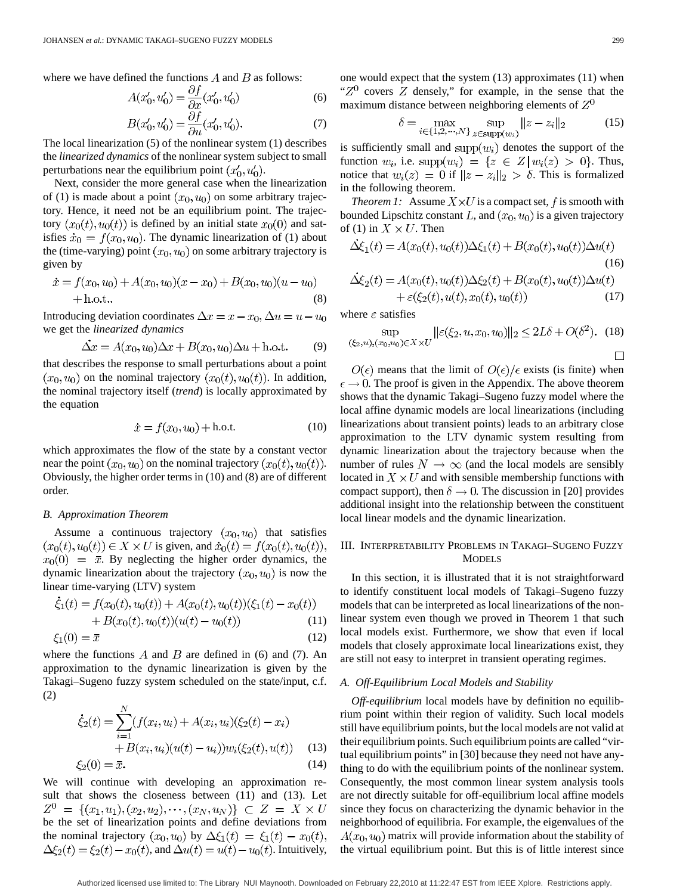where we have defined the functions  $A$  and  $B$  as follows:

$$
A(x'_0, u'_0) = \frac{\partial f}{\partial x}(x'_0, u'_0)
$$
\n<sup>(6)</sup>

$$
B(x'_0, u'_0) = \frac{\partial f}{\partial u}(x'_0, u'_0). \tag{7}
$$

The local linearization (5) of the nonlinear system (1) describes the *linearized dynamics* of the nonlinear system subject to small perturbations near the equilibrium point  $(x'_0, u'_0)$ .

Next, consider the more general case when the linearization of (1) is made about a point  $(x_0, u_0)$  on some arbitrary trajectory. Hence, it need not be an equilibrium point. The trajectory  $(x_0(t), u_0(t))$  is defined by an initial state  $x_0(0)$  and satisfies  $\dot{x}_0 = f(x_0, u_0)$ . The dynamic linearization of (1) about the (time-varying) point  $(x_0, u_0)$  on some arbitrary trajectory is given by

$$
\dot{x} = f(x_0, u_0) + A(x_0, u_0)(x - x_0) + B(x_0, u_0)(u - u_0) + \text{h.o.t.},
$$
\n(8)

Introducing deviation coordinates  $\Delta x = x - x_0$ ,  $\Delta u = u - u_0$ we get the *linearized dynamics*

$$
\dot{\Delta x} = A(x_0, u_0)\Delta x + B(x_0, u_0)\Delta u + \text{h.o.t.}
$$
 (9)

that describes the response to small perturbations about a point  $(x_0, u_0)$  on the nominal trajectory  $(x_0(t), u_0(t))$ . In addition, the nominal trajectory itself (*trend*) is locally approximated by the equation

$$
\dot{x} = f(x_0, u_0) + \text{h.o.t.} \tag{10}
$$

which approximates the flow of the state by a constant vector near the point  $(x_0, u_0)$  on the nominal trajectory  $(x_0(t), u_0(t))$ . Obviously, the higher order terms in (10) and (8) are of different order.

#### *B. Approximation Theorem*

Assume a continuous trajectory  $(x_0, u_0)$  that satisfies  $(x_0(t), u_0(t)) \in X \times U$  is given, and  $\dot{x}_0(t) = f(x_0(t), u_0(t)),$  $x_0(0) = \bar{x}$ . By neglecting the higher order dynamics, the dynamic linearization about the trajectory  $(x_0, u_0)$  is now the linear time-varying (LTV) system

$$
\dot{\xi}_1(t) = f(x_0(t), u_0(t)) + A(x_0(t), u_0(t))(\xi_1(t) - x_0(t)) \n+ B(x_0(t), u_0(t))(u(t) - u_0(t))
$$
\n(11)

$$
\xi_1(0) = \bar{x} \tag{12}
$$

where the functions A and B are defined in (6) and (7). An approximation to the dynamic linearization is given by the Takagi–Sugeno fuzzy system scheduled on the state/input, c.f. (2)

$$
\dot{\xi}_2(t) = \sum_{i=1}^N (f(x_i, u_i) + A(x_i, u_i)(\xi_2(t) - x_i) \n+ B(x_i, u_i)(u(t) - u_i))w_i(\xi_2(t), u(t)) \quad (13) \n\xi_2(0) = \bar{x}.
$$
\n(14)

We will continue with developing an approximation result that shows the closeness between (11) and (13). Let  $Z^0 = \{(x_1, u_1), (x_2, u_2), \cdots, (x_N, u_N)\}\subset Z = X \times U$ be the set of linearization points and define deviations from the nominal trajectory  $(x_0, u_0)$  by  $\Delta \xi_1(t) = \xi_1(t) - x_0(t)$ ,  $\Delta \xi_2(t) = \xi_2(t) - x_0(t)$ , and  $\Delta u(t) = u(t) - u_0(t)$ . Intuitively, one would expect that the system (13) approximates (11) when " $Z<sup>0</sup>$  covers Z densely," for example, in the sense that the maximum distance between neighboring elements of  $Z^0$ 

$$
\delta = \max_{i \in \{1, 2, \cdots, N\}} \sup_{z \in \text{supp}(w_i)} ||z - z_i||_2 \tag{15}
$$

is sufficiently small and  $supp(w_i)$  denotes the support of the function  $w_i$ , i.e.  $\text{supp}(w_i) = \{z \in Z | w_i(z) > 0\}$ . Thus, notice that  $w_i(z) = 0$  if  $||z - z_i||_2 > \delta$ . This is formalized in the following theorem.

*Theorem 1:* Assume  $X \times U$  is a compact set, f is smooth with bounded Lipschitz constant L, and  $(x_0, u_0)$  is a given trajectory of (1) in  $X \times U$ . Then

$$
\Delta \xi_1(t) = A(x_0(t), u_0(t)) \Delta \xi_1(t) + B(x_0(t), u_0(t)) \Delta u(t)
$$
\n(16)

$$
\Delta \xi_2(t) = A(x_0(t), u_0(t)) \Delta \xi_2(t) + B(x_0(t), u_0(t)) \Delta u(t) \n+ \varepsilon(\xi_2(t), u(t), x_0(t), u_0(t))
$$
\n(17)

where  $\varepsilon$  satisfies

$$
\sup_{(\xi_2, u), (x_0, u_0) \in X \times U} ||\varepsilon(\xi_2, u, x_0, u_0)||_2 \le 2L\delta + O(\delta^2). \tag{18}
$$

 $O(\epsilon)$  means that the limit of  $O(\epsilon)/\epsilon$  exists (is finite) when  $\epsilon \rightarrow 0$ . The proof is given in the Appendix. The above theorem shows that the dynamic Takagi–Sugeno fuzzy model where the local affine dynamic models are local linearizations (including linearizations about transient points) leads to an arbitrary close approximation to the LTV dynamic system resulting from dynamic linearization about the trajectory because when the number of rules  $N \to \infty$  (and the local models are sensibly located in  $X \times U$  and with sensible membership functions with compact support), then  $\delta \rightarrow 0$ . The discussion in [20] provides additional insight into the relationship between the constituent local linear models and the dynamic linearization.

# III. INTERPRETABILITY PROBLEMS IN TAKAGI–SUGENO FUZZY **MODELS**

In this section, it is illustrated that it is not straightforward to identify constituent local models of Takagi–Sugeno fuzzy models that can be interpreted as local linearizations of the nonlinear system even though we proved in Theorem 1 that such local models exist. Furthermore, we show that even if local models that closely approximate local linearizations exist, they are still not easy to interpret in transient operating regimes.

### *A. Off-Equilibrium Local Models and Stability*

*Off-equilibrium* local models have by definition no equilibrium point within their region of validity. Such local models still have equilibrium points, but the local models are not valid at their equilibrium points. Such equilibrium points are called "virtual equilibrium points" in [30] because they need not have anything to do with the equilibrium points of the nonlinear system. Consequently, the most common linear system analysis tools are not directly suitable for off-equilibrium local affine models since they focus on characterizing the dynamic behavior in the neighborhood of equilibria. For example, the eigenvalues of the  $A(x_0, u_0)$  matrix will provide information about the stability of the virtual equilibrium point. But this is of little interest since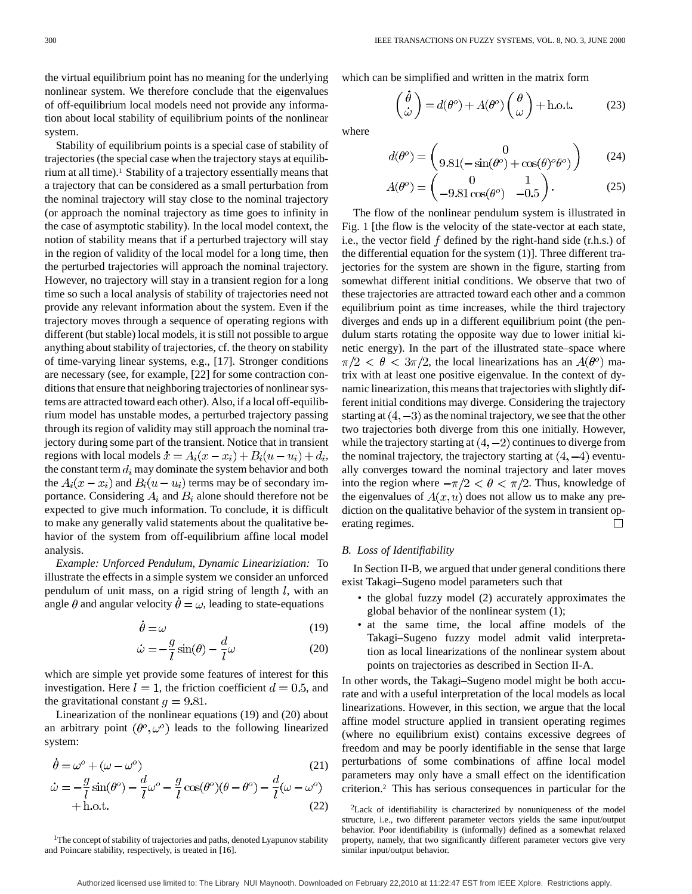the virtual equilibrium point has no meaning for the underlying nonlinear system. We therefore conclude that the eigenvalues of off-equilibrium local models need not provide any information about local stability of equilibrium points of the nonlinear system.

Stability of equilibrium points is a special case of stability of trajectories (the special case when the trajectory stays at equilibrium at all time).<sup>1</sup> Stability of a trajectory essentially means that a trajectory that can be considered as a small perturbation from the nominal trajectory will stay close to the nominal trajectory (or approach the nominal trajectory as time goes to infinity in the case of asymptotic stability). In the local model context, the notion of stability means that if a perturbed trajectory will stay in the region of validity of the local model for a long time, then the perturbed trajectories will approach the nominal trajectory. However, no trajectory will stay in a transient region for a long time so such a local analysis of stability of trajectories need not provide any relevant information about the system. Even if the trajectory moves through a sequence of operating regions with different (but stable) local models, it is still not possible to argue anything about stability of trajectories, cf. the theory on stability of time-varying linear systems, e.g., [17]. Stronger conditions are necessary (see, for example, [22] for some contraction conditions that ensure that neighboring trajectories of nonlinear systems are attracted toward each other). Also, if a local off-equilibrium model has unstable modes, a perturbed trajectory passing through its region of validity may still approach the nominal trajectory during some part of the transient. Notice that in transient regions with local models  $\dot{x} = A_i(x - x_i) + B_i(u - u_i) + d_i$ , the constant term  $d_i$  may dominate the system behavior and both the  $A_i(x - x_i)$  and  $B_i(u - u_i)$  terms may be of secondary importance. Considering  $A_i$  and  $B_i$  alone should therefore not be expected to give much information. To conclude, it is difficult to make any generally valid statements about the qualitative behavior of the system from off-equilibrium affine local model analysis.

*Example: Unforced Pendulum, Dynamic Lineariziation:* To illustrate the effects in a simple system we consider an unforced pendulum of unit mass, on a rigid string of length  $l$ , with an angle  $\theta$  and angular velocity  $\theta = \omega$ , leading to state-equations

$$
\dot{\theta} = \omega \tag{19}
$$

$$
\dot{\omega} = -\frac{g}{l}\sin(\theta) - \frac{d}{l}\omega\tag{20}
$$

which are simple yet provide some features of interest for this investigation. Here  $l = 1$ , the friction coefficient  $d = 0.5$ , and the gravitational constant  $g = 9.81$ .

Linearization of the nonlinear equations (19) and (20) about an arbitrary point  $(\theta^{\circ}, \omega^{\circ})$  leads to the following linearized system:

$$
\dot{\theta} = \omega^{\circ} + (\omega - \omega^{\circ}) \tag{21}
$$

$$
\dot{\omega} = -\frac{g}{l}\sin(\theta^{\circ}) - \frac{d}{l}\omega^{\circ} - \frac{g}{l}\cos(\theta^{\circ})(\theta - \theta^{\circ}) - \frac{d}{l}(\omega - \omega^{\circ}) + \text{h.o.t.}
$$
\n(22)

<sup>1</sup>The concept of stability of trajectories and paths, denoted Lyapunov stability and Poincare stability, respectively, is treated in [16].

which can be simplified and written in the matrix form

$$
\begin{pmatrix} \dot{\theta} \\ \dot{\omega} \end{pmatrix} = d(\theta^{\circ}) + A(\theta^{\circ}) \begin{pmatrix} \theta \\ \omega \end{pmatrix} + \text{h.o.t.} \tag{23}
$$

where

$$
d(\theta^{\circ}) = \begin{pmatrix} 0 \\ 9.81(-\sin(\theta^{\circ}) + \cos(\theta)^{\circ}\theta^{\circ}) \end{pmatrix} (24)
$$

$$
A(\theta^{\circ}) = \begin{pmatrix} 0 & 1 \\ -9.81 \cos(\theta^{\circ}) & -0.5 \end{pmatrix}.
$$
 (25)

The flow of the nonlinear pendulum system is illustrated in Fig. 1 [the flow is the velocity of the state-vector at each state, i.e., the vector field  $f$  defined by the right-hand side (r.h.s.) of the differential equation for the system (1)]. Three different trajectories for the system are shown in the figure, starting from somewhat different initial conditions. We observe that two of these trajectories are attracted toward each other and a common equilibrium point as time increases, while the third trajectory diverges and ends up in a different equilibrium point (the pendulum starts rotating the opposite way due to lower initial kinetic energy). In the part of the illustrated state–space where  $\pi/2 < \theta < 3\pi/2$ , the local linearizations has an  $A(\theta^{\circ})$  matrix with at least one positive eigenvalue. In the context of dynamic linearization, this means that trajectories with slightly different initial conditions may diverge. Considering the trajectory starting at  $(4, -3)$  as the nominal trajectory, we see that the other two trajectories both diverge from this one initially. However, while the trajectory starting at  $(4, -2)$  continues to diverge from the nominal trajectory, the trajectory starting at  $(4, -4)$  eventually converges toward the nominal trajectory and later moves into the region where  $-\pi/2 < \theta < \pi/2$ . Thus, knowledge of the eigenvalues of  $A(x, u)$  does not allow us to make any prediction on the qualitative behavior of the system in transient operating regimes.  $\Box$ 

# *B. Loss of Identifiability*

In Section II-B, we argued that under general conditions there exist Takagi–Sugeno model parameters such that

- the global fuzzy model (2) accurately approximates the global behavior of the nonlinear system (1);
- at the same time, the local affine models of the Takagi–Sugeno fuzzy model admit valid interpretation as local linearizations of the nonlinear system about points on trajectories as described in Section II-A.

In other words, the Takagi–Sugeno model might be both accurate and with a useful interpretation of the local models as local linearizations. However, in this section, we argue that the local affine model structure applied in transient operating regimes (where no equilibrium exist) contains excessive degrees of freedom and may be poorly identifiable in the sense that large perturbations of some combinations of affine local model parameters may only have a small effect on the identification criterion.2 This has serious consequences in particular for the

<sup>2</sup>Lack of identifiability is characterized by nonuniqueness of the model structure, i.e., two different parameter vectors yields the same input/output behavior. Poor identifiability is (informally) defined as a somewhat relaxed property, namely, that two significantly different parameter vectors give very similar input/output behavior.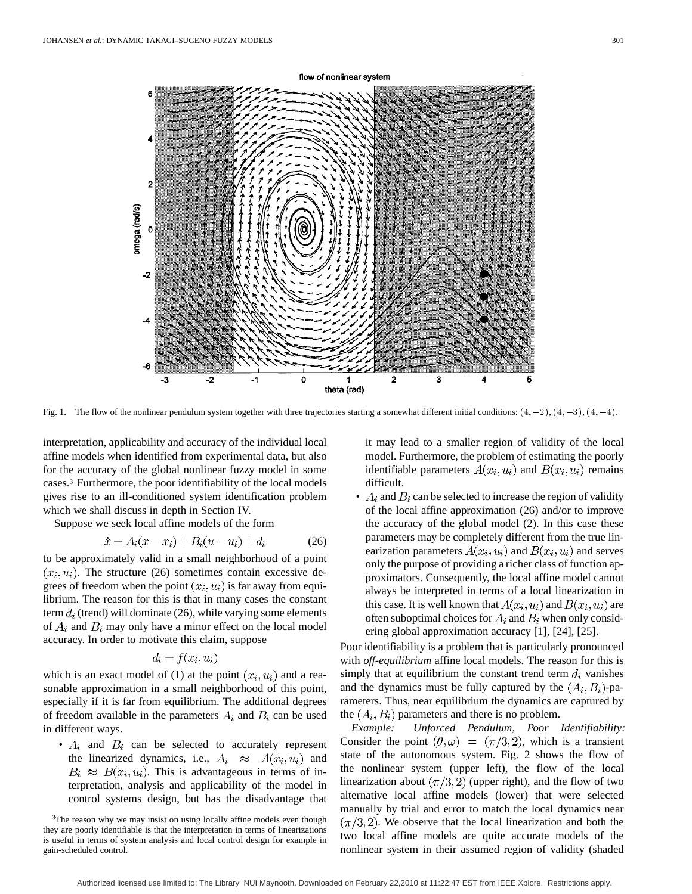

interpretation, applicability and accuracy of the individual local affine models when identified from experimental data, but also for the accuracy of the global nonlinear fuzzy model in some cases.3 Furthermore, the poor identifiability of the local models gives rise to an ill-conditioned system identification problem which we shall discuss in depth in Section IV.

Suppose we seek local affine models of the form

$$
\dot{x} = A_i(x - x_i) + B_i(u - u_i) + d_i \tag{26}
$$

to be approximately valid in a small neighborhood of a point  $(x_i, u_i)$ . The structure (26) sometimes contain excessive degrees of freedom when the point  $(x_i, u_i)$  is far away from equilibrium. The reason for this is that in many cases the constant term  $d_i$  (trend) will dominate (26), while varying some elements of  $A_i$  and  $B_i$  may only have a minor effect on the local model accuracy. In order to motivate this claim, suppose

$$
d_i = f(x_i, u_i)
$$

which is an exact model of (1) at the point  $(x_i, u_i)$  and a reasonable approximation in a small neighborhood of this point, especially if it is far from equilibrium. The additional degrees of freedom available in the parameters  $A_i$  and  $B_i$  can be used in different ways.

•  $A_i$  and  $B_i$  can be selected to accurately represent the linearized dynamics, i.e.,  $A_i \approx A(x_i, u_i)$  and  $B_i \approx B(x_i, u_i)$ . This is advantageous in terms of interpretation, analysis and applicability of the model in control systems design, but has the disadvantage that it may lead to a smaller region of validity of the local model. Furthermore, the problem of estimating the poorly identifiable parameters  $A(x_i, u_i)$  and  $B(x_i, u_i)$  remains difficult.

•  $A_i$  and  $B_i$  can be selected to increase the region of validity of the local affine approximation (26) and/or to improve the accuracy of the global model (2). In this case these parameters may be completely different from the true linearization parameters  $A(x_i, u_i)$  and  $B(x_i, u_i)$  and serves only the purpose of providing a richer class of function approximators. Consequently, the local affine model cannot always be interpreted in terms of a local linearization in this case. It is well known that  $A(x_i, u_i)$  and  $B(x_i, u_i)$  are often suboptimal choices for  $A_i$  and  $B_i$  when only considering global approximation accuracy [1], [24], [25].

Poor identifiability is a problem that is particularly pronounced with *off-equilibrium* affine local models. The reason for this is simply that at equilibrium the constant trend term  $d_i$  vanishes and the dynamics must be fully captured by the  $(A_i, B_i)$ -parameters. Thus, near equilibrium the dynamics are captured by the  $(A_i, B_i)$  parameters and there is no problem.

*Example: Unforced Pendulum, Poor Identifiability:* Consider the point  $(\theta, \omega) = (\pi/3, 2)$ , which is a transient state of the autonomous system. Fig. 2 shows the flow of the nonlinear system (upper left), the flow of the local linearization about  $(\pi/3, 2)$  (upper right), and the flow of two alternative local affine models (lower) that were selected manually by trial and error to match the local dynamics near  $(\pi/3, 2)$ . We observe that the local linearization and both the two local affine models are quite accurate models of the nonlinear system in their assumed region of validity (shaded

<sup>&</sup>lt;sup>3</sup>The reason why we may insist on using locally affine models even though they are poorly identifiable is that the interpretation in terms of linearizations is useful in terms of system analysis and local control design for example in gain-scheduled control.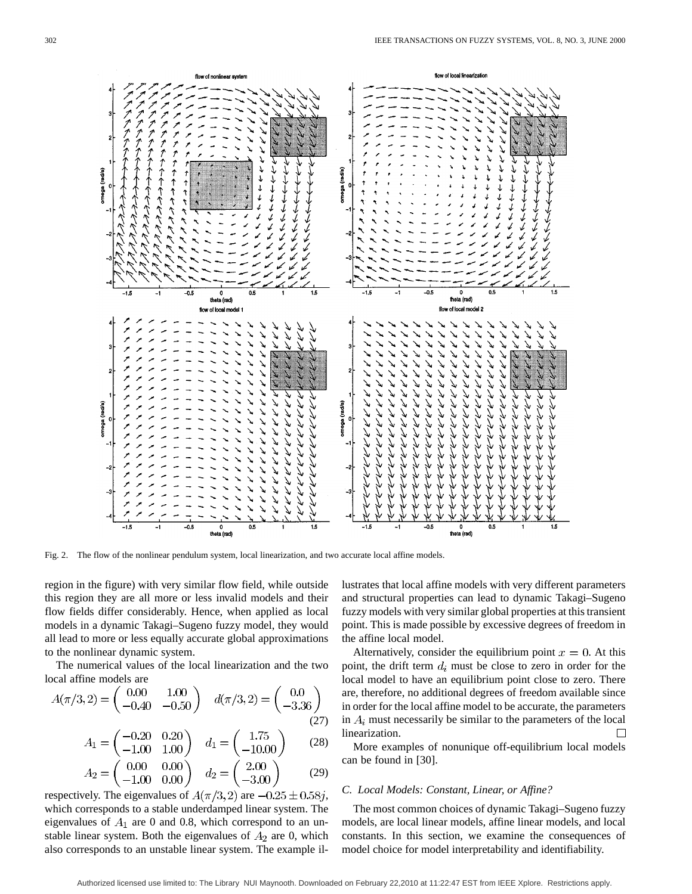

Fig. 2. The flow of the nonlinear pendulum system, local linearization, and two accurate local affine models.

region in the figure) with very similar flow field, while outside this region they are all more or less invalid models and their flow fields differ considerably. Hence, when applied as local models in a dynamic Takagi–Sugeno fuzzy model, they would all lead to more or less equally accurate global approximations to the nonlinear dynamic system.

The numerical values of the local linearization and the two local affine models are

$$
A(\pi/3, 2) = \begin{pmatrix} 0.00 & 1.00 \\ -0.40 & -0.50 \end{pmatrix} \quad d(\pi/3, 2) = \begin{pmatrix} 0.0 \\ -3.36 \end{pmatrix}
$$
 (27)

$$
A_1 = \begin{pmatrix} -0.20 & 0.20 \\ -1.00 & 1.00 \end{pmatrix} \quad d_1 = \begin{pmatrix} 1.75 \\ -10.00 \end{pmatrix} \tag{28}
$$

$$
A_2 = \begin{pmatrix} 0.00 & 0.00 \\ -1.00 & 0.00 \end{pmatrix} \quad d_2 = \begin{pmatrix} 2.00 \\ -3.00 \end{pmatrix} \tag{29}
$$

respectively. The eigenvalues of  $A(\pi/3, 2)$  are  $-0.25 \pm 0.58j$ , which corresponds to a stable underdamped linear system. The eigenvalues of  $A_1$  are 0 and 0.8, which correspond to an unstable linear system. Both the eigenvalues of  $A_2$  are 0, which also corresponds to an unstable linear system. The example illustrates that local affine models with very different parameters and structural properties can lead to dynamic Takagi–Sugeno fuzzy models with very similar global properties at this transient point. This is made possible by excessive degrees of freedom in the affine local model.

Alternatively, consider the equilibrium point  $x = 0$ . At this point, the drift term  $d_i$  must be close to zero in order for the local model to have an equilibrium point close to zero. There are, therefore, no additional degrees of freedom available since in order for the local affine model to be accurate, the parameters in  $A_i$  must necessarily be similar to the parameters of the local linearization.  $\mathsf{I}$ 

More examples of nonunique off-equilibrium local models can be found in [30].

## *C. Local Models: Constant, Linear, or Affine?*

The most common choices of dynamic Takagi–Sugeno fuzzy models, are local linear models, affine linear models, and local constants. In this section, we examine the consequences of model choice for model interpretability and identifiability.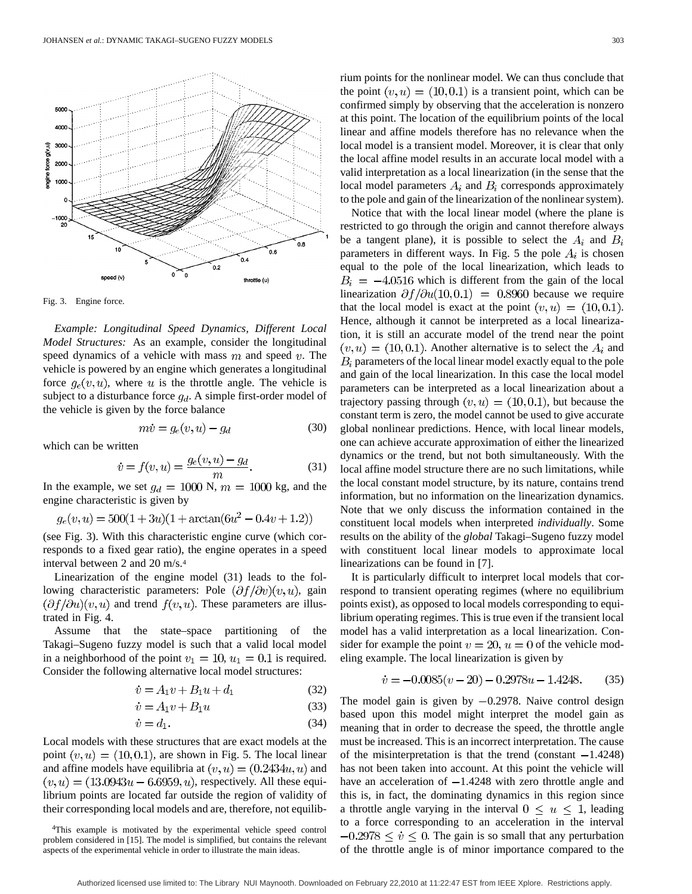

Fig. 3. Engine force.

*Example: Longitudinal Speed Dynamics, Different Local Model Structures:* As an example, consider the longitudinal speed dynamics of a vehicle with mass  $m$  and speed  $v$ . The vehicle is powered by an engine which generates a longitudinal force  $g_e(v, u)$ , where u is the throttle angle. The vehicle is subject to a disturbance force  $g_d$ . A simple first-order model of the vehicle is given by the force balance

$$
m\dot{v} = g_e(v, u) - g_d \tag{30}
$$

which can be written

$$
\dot{v} = f(v, u) = \frac{g_e(v, u) - g_d}{m}.
$$
 (31)

In the example, we set  $g_d = 1000$  N,  $m = 1000$  kg, and the engine characteristic is given by

$$
g_e(v, u) = 500(1 + 3u)(1 + \arctan(6u^2 - 0.4v + 1.2))
$$

(see Fig. 3). With this characteristic engine curve (which corresponds to a fixed gear ratio), the engine operates in a speed interval between 2 and 20 m/s.4

Linearization of the engine model (31) leads to the following characteristic parameters: Pole  $(\partial f/\partial v)(v, u)$ , gain  $(\partial f/\partial u)(v, u)$  and trend  $f(v, u)$ . These parameters are illustrated in Fig. 4.

Assume that the state–space partitioning of the Takagi–Sugeno fuzzy model is such that a valid local model in a neighborhood of the point  $v_1 = 10$ ,  $u_1 = 0.1$  is required. Consider the following alternative local model structures:

$$
\dot{v} = A_1 v + B_1 u + d_1 \tag{32}
$$

$$
\dot{v} = A_1 v + B_1 u \tag{33}
$$

$$
\dot{v} = d_1. \tag{34}
$$

Local models with these structures that are exact models at the point  $(v, u) = (10, 0.1)$ , are shown in Fig. 5. The local linear and affine models have equilibria at  $(v, u) = (0.2434u, u)$  and  $(v, u) = (13.0943u - 6.6959, u)$ , respectively. All these equilibrium points are located far outside the region of validity of their corresponding local models and are, therefore, not equilibrium points for the nonlinear model. We can thus conclude that the point  $(v, u) = (10, 0.1)$  is a transient point, which can be confirmed simply by observing that the acceleration is nonzero at this point. The location of the equilibrium points of the local linear and affine models therefore has no relevance when the local model is a transient model. Moreover, it is clear that only the local affine model results in an accurate local model with a valid interpretation as a local linearization (in the sense that the local model parameters  $A_i$  and  $B_i$  corresponds approximately to the pole and gain of the linearization of the nonlinear system).

Notice that with the local linear model (where the plane is restricted to go through the origin and cannot therefore always be a tangent plane), it is possible to select the  $A_i$  and  $B_i$ parameters in different ways. In Fig. 5 the pole  $A_i$  is chosen equal to the pole of the local linearization, which leads to  $B_i = -4.0516$  which is different from the gain of the local linearization  $\partial f / \partial u(10, 0.1) = 0.8960$  because we require that the local model is exact at the point  $(v, u) = (10, 0.1)$ . Hence, although it cannot be interpreted as a local linearization, it is still an accurate model of the trend near the point  $(v, u) = (10, 0.1)$ . Another alternative is to select the  $A_i$  and  $B_i$  parameters of the local linear model exactly equal to the pole and gain of the local linearization. In this case the local model parameters can be interpreted as a local linearization about a trajectory passing through  $(v, u) = (10, 0.1)$ , but because the constant term is zero, the model cannot be used to give accurate global nonlinear predictions. Hence, with local linear models, one can achieve accurate approximation of either the linearized dynamics or the trend, but not both simultaneously. With the local affine model structure there are no such limitations, while the local constant model structure, by its nature, contains trend information, but no information on the linearization dynamics. Note that we only discuss the information contained in the constituent local models when interpreted *individually*. Some results on the ability of the *global* Takagi–Sugeno fuzzy model with constituent local linear models to approximate local linearizations can be found in [7].

It is particularly difficult to interpret local models that correspond to transient operating regimes (where no equilibrium points exist), as opposed to local models corresponding to equilibrium operating regimes. This is true even if the transient local model has a valid interpretation as a local linearization. Consider for example the point  $v = 20$ ,  $u = 0$  of the vehicle modeling example. The local linearization is given by

$$
\dot{v} = -0.0085(v - 20) - 0.2978u - 1.4248. \tag{35}
$$

The model gain is given by  $-0.2978$ . Naive control design based upon this model might interpret the model gain as meaning that in order to decrease the speed, the throttle angle must be increased. This is an incorrect interpretation. The cause of the misinterpretation is that the trend (constant  $-1.4248$ ) has not been taken into account. At this point the vehicle will have an acceleration of  $-1.4248$  with zero throttle angle and this is, in fact, the dominating dynamics in this region since a throttle angle varying in the interval  $0 \le u \le 1$ , leading to a force corresponding to an acceleration in the interval  $-0.2978 \le \dot{v} \le 0$ . The gain is so small that any perturbation of the throttle angle is of minor importance compared to the

<sup>4</sup>This example is motivated by the experimental vehicle speed control problem considered in [15]. The model is simplified, but contains the relevant aspects of the experimental vehicle in order to illustrate the main ideas.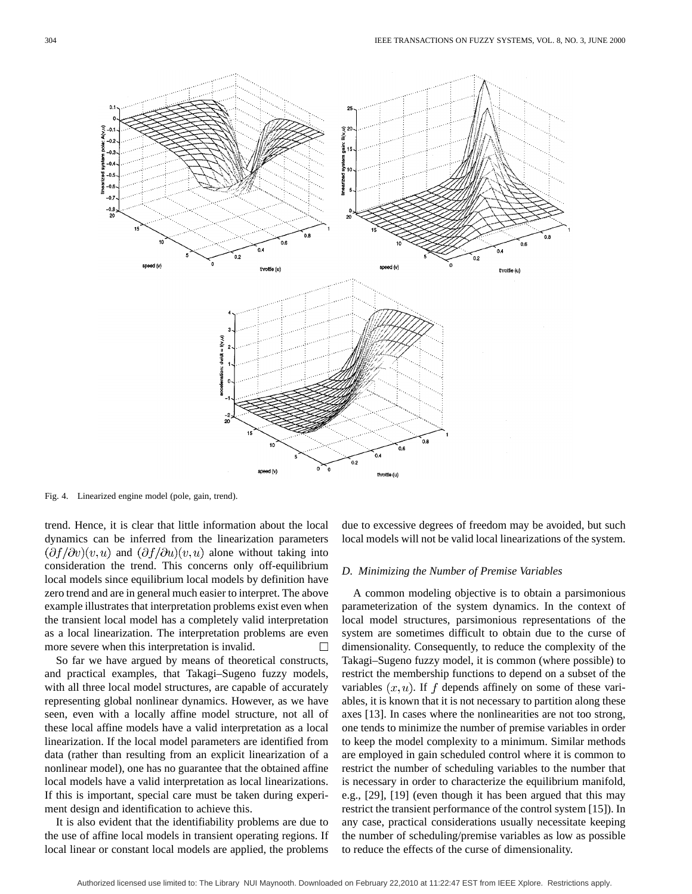

Fig. 4. Linearized engine model (pole, gain, trend).

trend. Hence, it is clear that little information about the local dynamics can be inferred from the linearization parameters  $(\partial f/\partial v)(v, u)$  and  $(\partial f/\partial u)(v, u)$  alone without taking into consideration the trend. This concerns only off-equilibrium local models since equilibrium local models by definition have zero trend and are in general much easier to interpret. The above example illustrates that interpretation problems exist even when the transient local model has a completely valid interpretation as a local linearization. The interpretation problems are even more severe when this interpretation is invalid.  $\Box$ 

So far we have argued by means of theoretical constructs, and practical examples, that Takagi–Sugeno fuzzy models, with all three local model structures, are capable of accurately representing global nonlinear dynamics. However, as we have seen, even with a locally affine model structure, not all of these local affine models have a valid interpretation as a local linearization. If the local model parameters are identified from data (rather than resulting from an explicit linearization of a nonlinear model), one has no guarantee that the obtained affine local models have a valid interpretation as local linearizations. If this is important, special care must be taken during experiment design and identification to achieve this.

It is also evident that the identifiability problems are due to the use of affine local models in transient operating regions. If local linear or constant local models are applied, the problems due to excessive degrees of freedom may be avoided, but such local models will not be valid local linearizations of the system.

#### *D. Minimizing the Number of Premise Variables*

A common modeling objective is to obtain a parsimonious parameterization of the system dynamics. In the context of local model structures, parsimonious representations of the system are sometimes difficult to obtain due to the curse of dimensionality. Consequently, to reduce the complexity of the Takagi–Sugeno fuzzy model, it is common (where possible) to restrict the membership functions to depend on a subset of the variables  $(x, u)$ . If f depends affinely on some of these variables, it is known that it is not necessary to partition along these axes [13]. In cases where the nonlinearities are not too strong, one tends to minimize the number of premise variables in order to keep the model complexity to a minimum. Similar methods are employed in gain scheduled control where it is common to restrict the number of scheduling variables to the number that is necessary in order to characterize the equilibrium manifold, e.g., [29], [19] (even though it has been argued that this may restrict the transient performance of the control system [15]). In any case, practical considerations usually necessitate keeping the number of scheduling/premise variables as low as possible to reduce the effects of the curse of dimensionality.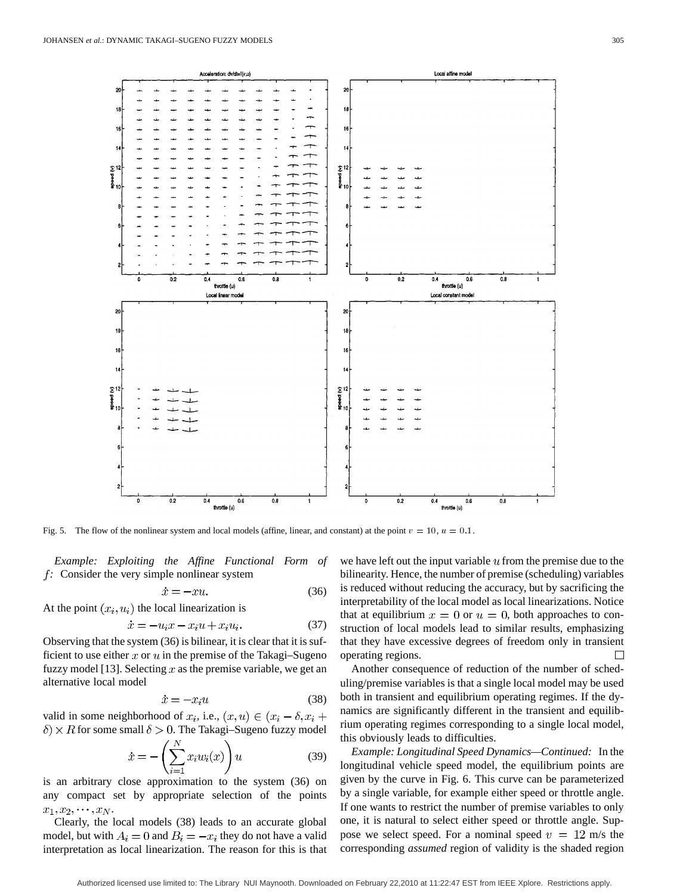

Fig. 5. The flow of the nonlinear system and local models (affine, linear, and constant) at the point  $v = 10$ ,  $u = 0.1$ .

*Example: Exploiting the Affine Functional Form of :* Consider the very simple nonlinear system

$$
\dot{x} = -xu.\tag{36}
$$

At the point  $(x_i, u_i)$  the local linearization is

$$
\dot{x} = -u_i x - x_i u + x_i u_i. \tag{37}
$$

Observing that the system (36) is bilinear, it is clear that it is sufficient to use either x or  $u$  in the premise of the Takagi–Sugeno fuzzy model [13]. Selecting  $x$  as the premise variable, we get an alternative local model

$$
\dot{x} = -x_i u \tag{38}
$$

valid in some neighborhood of  $x_i$ , i.e.,  $(x, u) \in (x_i - \delta, x_i +$  $\delta$ )  $\times$  R for some small  $\delta$   $>$  0. The Takagi–Sugeno fuzzy model

$$
\dot{x} = -\left(\sum_{i=1}^{N} x_i w_i(x)\right) u \tag{39}
$$

is an arbitrary close approximation to the system (36) on any compact set by appropriate selection of the points  $x_1, x_2, \cdots, x_N.$ 

Clearly, the local models (38) leads to an accurate global model, but with  $A_i = 0$  and  $B_i = -x_i$  they do not have a valid interpretation as local linearization. The reason for this is that we have left out the input variable  $u$  from the premise due to the bilinearity. Hence, the number of premise (scheduling) variables is reduced without reducing the accuracy, but by sacrificing the interpretability of the local model as local linearizations. Notice that at equilibrium  $x = 0$  or  $u = 0$ , both approaches to construction of local models lead to similar results, emphasizing that they have excessive degrees of freedom only in transient operating regions. П

Another consequence of reduction of the number of scheduling/premise variables is that a single local model may be used both in transient and equilibrium operating regimes. If the dynamics are significantly different in the transient and equilibrium operating regimes corresponding to a single local model, this obviously leads to difficulties.

*Example: Longitudinal Speed Dynamics—Continued:* In the longitudinal vehicle speed model, the equilibrium points are given by the curve in Fig. 6. This curve can be parameterized by a single variable, for example either speed or throttle angle. If one wants to restrict the number of premise variables to only one, it is natural to select either speed or throttle angle. Suppose we select speed. For a nominal speed  $v = 12$  m/s the corresponding *assumed* region of validity is the shaded region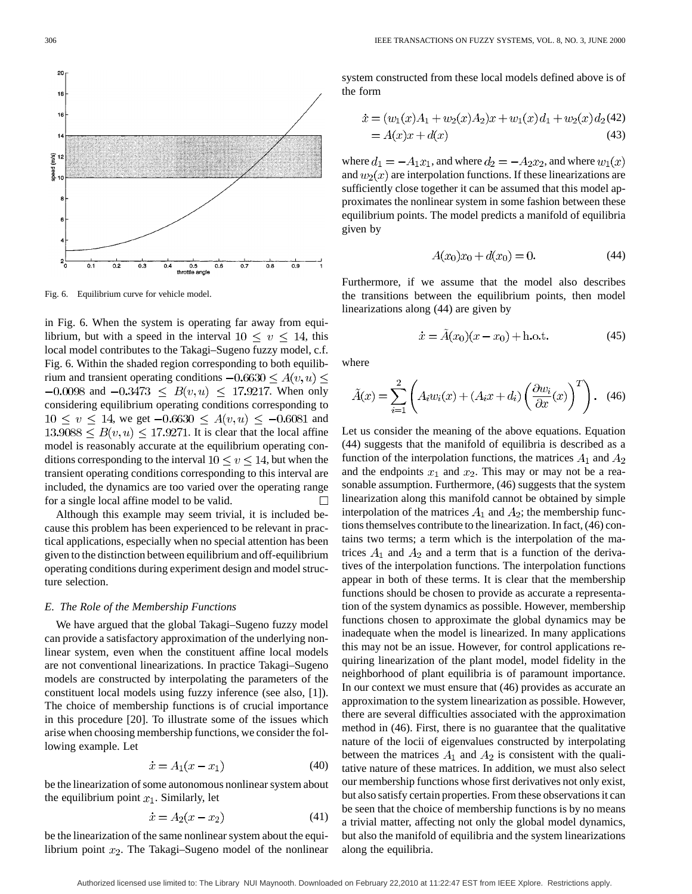

Fig. 6. Equilibrium curve for vehicle model.

in Fig. 6. When the system is operating far away from equilibrium, but with a speed in the interval  $10 \leq v \leq 14$ , this local model contributes to the Takagi–Sugeno fuzzy model, c.f. Fig. 6. Within the shaded region corresponding to both equilibrium and transient operating conditions  $-0.6630 \le A(v, u) \le$  $-0.0098$  and  $-0.3473 \le B(v, u) \le 17.9217$ . When only considering equilibrium operating conditions corresponding to  $10 \le v \le 14$ , we get  $-0.6630 \le A(v, u) \le -0.6081$  and  $13.9088 \le B(v, u) \le 17.9271$ . It is clear that the local affine model is reasonably accurate at the equilibrium operating conditions corresponding to the interval  $10 \le v \le 14$ , but when the transient operating conditions corresponding to this interval are included, the dynamics are too varied over the operating range for a single local affine model to be valid.

Although this example may seem trivial, it is included because this problem has been experienced to be relevant in practical applications, especially when no special attention has been given to the distinction between equilibrium and off-equilibrium operating conditions during experiment design and model structure selection.

#### *E. The Role of the Membership Functions*

We have argued that the global Takagi–Sugeno fuzzy model can provide a satisfactory approximation of the underlying nonlinear system, even when the constituent affine local models are not conventional linearizations. In practice Takagi–Sugeno models are constructed by interpolating the parameters of the constituent local models using fuzzy inference (see also, [1]). The choice of membership functions is of crucial importance in this procedure [20]. To illustrate some of the issues which arise when choosing membership functions, we consider the following example. Let

$$
\dot{x} = A_1(x - x_1) \tag{40}
$$

be the linearization of some autonomous nonlinear system about the equilibrium point  $x_1$ . Similarly, let

$$
\dot{x} = A_2(x - x_2) \tag{41}
$$

be the linearization of the same nonlinear system about the equilibrium point  $x_2$ . The Takagi–Sugeno model of the nonlinear system constructed from these local models defined above is of the form

$$
\dot{x} = (w_1(x)A_1 + w_2(x)A_2)x + w_1(x) d_1 + w_2(x) d_2(42)
$$
  
=  $A(x)x + d(x)$  (43)

where  $d_1 = -A_1x_1$ , and where  $d_2 = -A_2x_2$ , and where  $w_1(x)$ and  $w_2(x)$  are interpolation functions. If these linearizations are sufficiently close together it can be assumed that this model approximates the nonlinear system in some fashion between these equilibrium points. The model predicts a manifold of equilibria given by

$$
A(x_0)x_0 + d(x_0) = 0.
$$
 (44)

Furthermore, if we assume that the model also describes the transitions between the equilibrium points, then model linearizations along (44) are given by

$$
\dot{x} = \tilde{A}(x_0)(x - x_0) + \text{h.o.t.}
$$
 (45)

where

$$
\tilde{A}(x) = \sum_{i=1}^{2} \left( A_i w_i(x) + (A_i x + d_i) \left( \frac{\partial w_i}{\partial x}(x) \right)^T \right). \tag{46}
$$

Let us consider the meaning of the above equations. Equation (44) suggests that the manifold of equilibria is described as a function of the interpolation functions, the matrices  $A_1$  and  $A_2$ and the endpoints  $x_1$  and  $x_2$ . This may or may not be a reasonable assumption. Furthermore, (46) suggests that the system linearization along this manifold cannot be obtained by simple interpolation of the matrices  $A_1$  and  $A_2$ ; the membership functions themselves contribute to the linearization. In fact, (46) contains two terms; a term which is the interpolation of the matrices  $A_1$  and  $A_2$  and a term that is a function of the derivatives of the interpolation functions. The interpolation functions appear in both of these terms. It is clear that the membership functions should be chosen to provide as accurate a representation of the system dynamics as possible. However, membership functions chosen to approximate the global dynamics may be inadequate when the model is linearized. In many applications this may not be an issue. However, for control applications requiring linearization of the plant model, model fidelity in the neighborhood of plant equilibria is of paramount importance. In our context we must ensure that (46) provides as accurate an approximation to the system linearization as possible. However, there are several difficulties associated with the approximation method in (46). First, there is no guarantee that the qualitative nature of the locii of eigenvalues constructed by interpolating between the matrices  $A_1$  and  $A_2$  is consistent with the qualitative nature of these matrices. In addition, we must also select our membership functions whose first derivatives not only exist, but also satisfy certain properties. From these observations it can be seen that the choice of membership functions is by no means a trivial matter, affecting not only the global model dynamics, but also the manifold of equilibria and the system linearizations along the equilibria.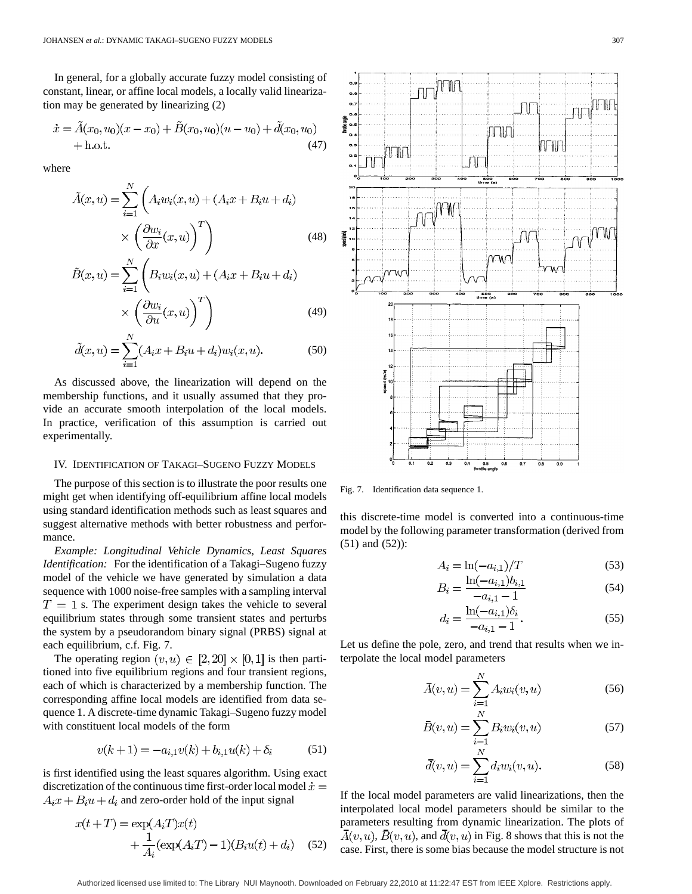In general, for a globally accurate fuzzy model consisting of constant, linear, or affine local models, a locally valid linearization may be generated by linearizing (2)

$$
\dot{x} = \tilde{A}(x_0, u_0)(x - x_0) + \tilde{B}(x_0, u_0)(u - u_0) + \tilde{d}(x_0, u_0) + \text{h.o.t.}
$$
\n(47)

where

$$
\tilde{A}(x, u) = \sum_{i=1}^{N} \left( A_i w_i(x, u) + (A_i x + B_i u + d_i) \times \left( \frac{\partial w_i}{\partial x}(x, u) \right)^T \right)
$$
\n(48)

$$
\tilde{B}(x, u) = \sum_{i=1}^{N} \left( B_i w_i(x, u) + (A_i x + B_i u + d_i) \times \left( \frac{\partial w_i}{\partial u}(x, u) \right)^T \right)
$$
\n(49)

$$
\tilde{d}(x, u) = \sum_{i=1}^{N} (A_i x + B_i u + d_i) w_i(x, u).
$$
 (50)

As discussed above, the linearization will depend on the membership functions, and it usually assumed that they provide an accurate smooth interpolation of the local models. In practice, verification of this assumption is carried out experimentally.

#### IV. IDENTIFICATION OF TAKAGI–SUGENO FUZZY MODELS

The purpose of this section is to illustrate the poor results one might get when identifying off-equilibrium affine local models using standard identification methods such as least squares and suggest alternative methods with better robustness and performance.

*Example: Longitudinal Vehicle Dynamics, Least Squares Identification:* For the identification of a Takagi–Sugeno fuzzy model of the vehicle we have generated by simulation a data sequence with 1000 noise-free samples with a sampling interval  $T = 1$  s. The experiment design takes the vehicle to several equilibrium states through some transient states and perturbs the system by a pseudorandom binary signal (PRBS) signal at each equilibrium, c.f. Fig. 7.

The operating region  $(v, u) \in [2, 20] \times [0, 1]$  is then partitioned into five equilibrium regions and four transient regions, each of which is characterized by a membership function. The corresponding affine local models are identified from data sequence 1. A discrete-time dynamic Takagi–Sugeno fuzzy model with constituent local models of the form

$$
v(k+1) = -a_{i,1}v(k) + b_{i,1}u(k) + \delta_i \tag{51}
$$

is first identified using the least squares algorithm. Using exact discretization of the continuous time first-order local model  $\dot{x} =$  $A_ix + B_iu + d_i$  and zero-order hold of the input signal

$$
x(t+T) = \exp(A_i T)x(t)
$$
  
+  $\frac{1}{A_i}(\exp(A_i T) - 1)(B_i u(t) + d_i)$  (52)



Fig. 7. Identification data sequence 1.

this discrete-time model is converted into a continuous-time model by the following parameter transformation (derived from (51) and (52)):

$$
A_i = \ln(-a_{i,1})/T\tag{53}
$$

$$
B_i = \frac{\text{m}(-a_{i,1})\ddot{v}_{i,1}}{-a_{i,1} - 1} \tag{54}
$$

$$
d_i = \frac{\ln(-a_{i,1})\delta_i}{-a_{i,1} - 1}.
$$
\n(55)

Let us define the pole, zero, and trend that results when we interpolate the local model parameters

$$
\bar{A}(v, u) = \sum_{i=1}^{N} A_i w_i(v, u)
$$
\n(56)

$$
\bar{B}(v, u) = \sum_{i=1}^{N} B_i w_i(v, u)
$$
\n(57)

$$
\bar{d}(v, u) = \sum_{i=1}^{N} d_i w_i(v, u).
$$
 (58)

If the local model parameters are valid linearizations, then the interpolated local model parameters should be similar to the parameters resulting from dynamic linearization. The plots of  $\bar{A}(v, u)$ ,  $\bar{B}(v, u)$ , and  $\bar{d}(v, u)$  in Fig. 8 shows that this is not the case. First, there is some bias because the model structure is not

Authorized licensed use limited to: The Library NUI Maynooth. Downloaded on February 22,2010 at 11:22:47 EST from IEEE Xplore. Restrictions apply.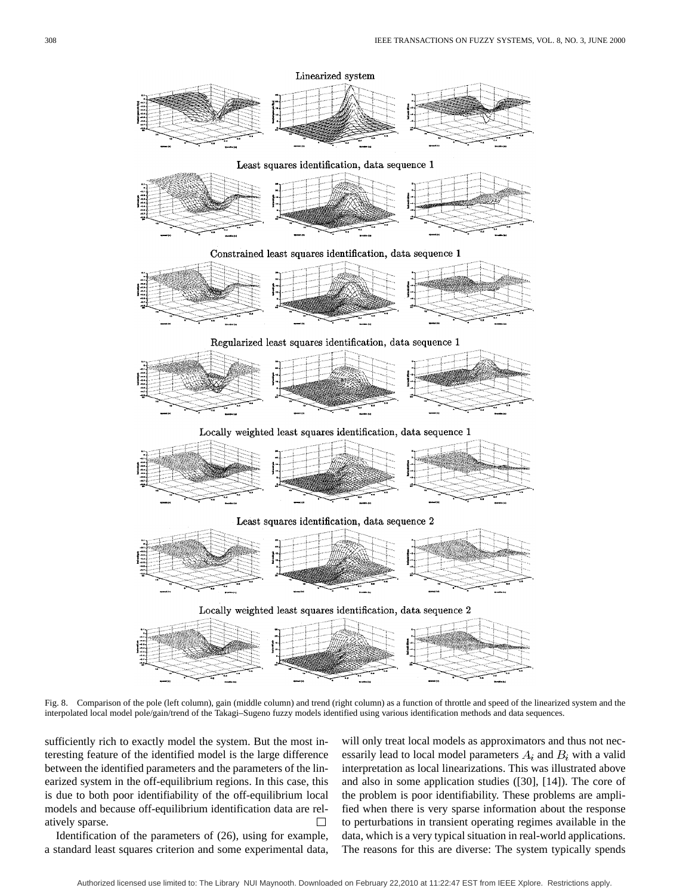

Fig. 8. Comparison of the pole (left column), gain (middle column) and trend (right column) as a function of throttle and speed of the linearized system and the interpolated local model pole/gain/trend of the Takagi–Sugeno fuzzy models identified using various identification methods and data sequences.

sufficiently rich to exactly model the system. But the most interesting feature of the identified model is the large difference between the identified parameters and the parameters of the linearized system in the off-equilibrium regions. In this case, this is due to both poor identifiability of the off-equilibrium local models and because off-equilibrium identification data are relatively sparse.  $\Box$ 

Identification of the parameters of (26), using for example, a standard least squares criterion and some experimental data, will only treat local models as approximators and thus not necessarily lead to local model parameters  $A_i$  and  $B_i$  with a valid interpretation as local linearizations. This was illustrated above and also in some application studies ([30], [14]). The core of the problem is poor identifiability. These problems are amplified when there is very sparse information about the response to perturbations in transient operating regimes available in the data, which is a very typical situation in real-world applications. The reasons for this are diverse: The system typically spends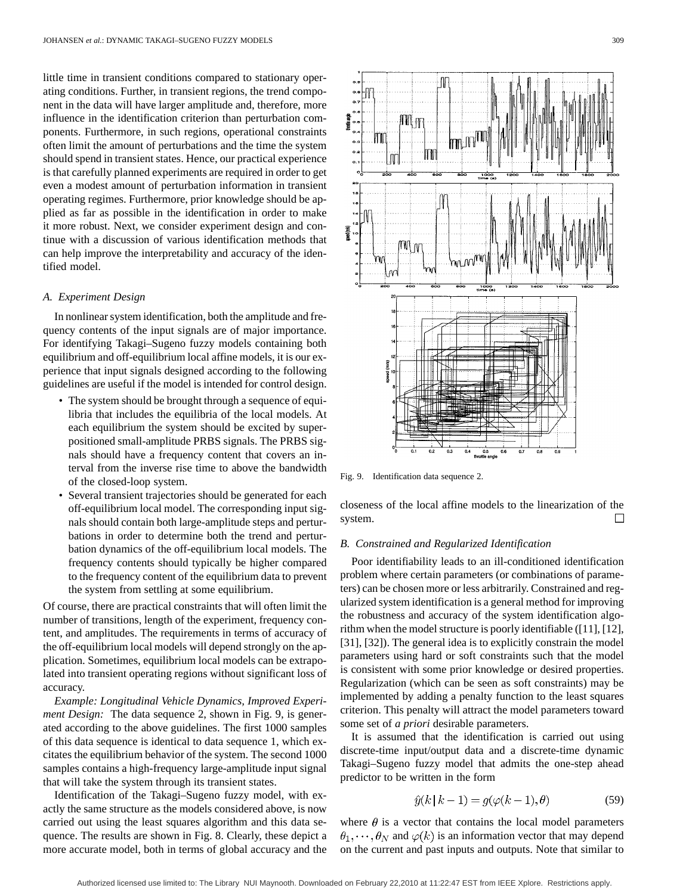little time in transient conditions compared to stationary operating conditions. Further, in transient regions, the trend component in the data will have larger amplitude and, therefore, more influence in the identification criterion than perturbation components. Furthermore, in such regions, operational constraints often limit the amount of perturbations and the time the system should spend in transient states. Hence, our practical experience is that carefully planned experiments are required in order to get even a modest amount of perturbation information in transient operating regimes. Furthermore, prior knowledge should be applied as far as possible in the identification in order to make it more robust. Next, we consider experiment design and continue with a discussion of various identification methods that can help improve the interpretability and accuracy of the identified model.

#### *A. Experiment Design*

In nonlinear system identification, both the amplitude and frequency contents of the input signals are of major importance. For identifying Takagi–Sugeno fuzzy models containing both equilibrium and off-equilibrium local affine models, it is our experience that input signals designed according to the following guidelines are useful if the model is intended for control design.

- The system should be brought through a sequence of equilibria that includes the equilibria of the local models. At each equilibrium the system should be excited by superpositioned small-amplitude PRBS signals. The PRBS signals should have a frequency content that covers an interval from the inverse rise time to above the bandwidth of the closed-loop system.
- Several transient trajectories should be generated for each off-equilibrium local model. The corresponding input signals should contain both large-amplitude steps and perturbations in order to determine both the trend and perturbation dynamics of the off-equilibrium local models. The frequency contents should typically be higher compared to the frequency content of the equilibrium data to prevent the system from settling at some equilibrium.

Of course, there are practical constraints that will often limit the number of transitions, length of the experiment, frequency content, and amplitudes. The requirements in terms of accuracy of the off-equilibrium local models will depend strongly on the application. Sometimes, equilibrium local models can be extrapolated into transient operating regions without significant loss of accuracy.

*Example: Longitudinal Vehicle Dynamics, Improved Experiment Design:* The data sequence 2, shown in Fig. 9, is generated according to the above guidelines. The first 1000 samples of this data sequence is identical to data sequence 1, which excitates the equilibrium behavior of the system. The second 1000 samples contains a high-frequency large-amplitude input signal that will take the system through its transient states.

Identification of the Takagi–Sugeno fuzzy model, with exactly the same structure as the models considered above, is now carried out using the least squares algorithm and this data sequence. The results are shown in Fig. 8. Clearly, these depict a more accurate model, both in terms of global accuracy and the



Fig. 9. Identification data sequence 2.

closeness of the local affine models to the linearization of the system.  $\Box$ 

#### *B. Constrained and Regularized Identification*

Poor identifiability leads to an ill-conditioned identification problem where certain parameters (or combinations of parameters) can be chosen more or less arbitrarily. Constrained and regularized system identification is a general method for improving the robustness and accuracy of the system identification algorithm when the model structure is poorly identifiable ([11], [12], [31], [32]). The general idea is to explicitly constrain the model parameters using hard or soft constraints such that the model is consistent with some prior knowledge or desired properties. Regularization (which can be seen as soft constraints) may be implemented by adding a penalty function to the least squares criterion. This penalty will attract the model parameters toward some set of *a priori* desirable parameters.

It is assumed that the identification is carried out using discrete-time input/output data and a discrete-time dynamic Takagi–Sugeno fuzzy model that admits the one-step ahead predictor to be written in the form

$$
\hat{y}(k|k-1) = g(\varphi(k-1), \theta) \tag{59}
$$

where  $\theta$  is a vector that contains the local model parameters  $\theta_1, \dots, \theta_N$  and  $\varphi(k)$  is an information vector that may depend on the current and past inputs and outputs. Note that similar to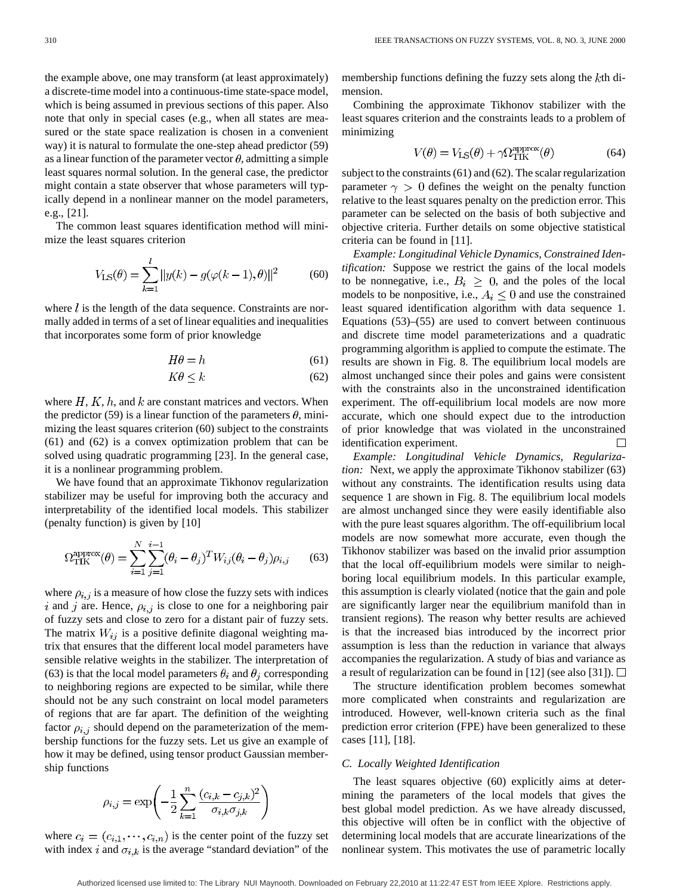the example above, one may transform (at least approximately) a discrete-time model into a continuous-time state-space model, which is being assumed in previous sections of this paper. Also note that only in special cases (e.g., when all states are measured or the state space realization is chosen in a convenient way) it is natural to formulate the one-step ahead predictor (59) as a linear function of the parameter vector  $\theta$ , admitting a simple least squares normal solution. In the general case, the predictor might contain a state observer that whose parameters will typically depend in a nonlinear manner on the model parameters, e.g., [21].

The common least squares identification method will minimize the least squares criterion

$$
V_{\text{LS}}(\theta) = \sum_{k=1}^{l} ||y(k) - g(\varphi(k-1), \theta)||^2
$$
 (60)

where  $l$  is the length of the data sequence. Constraints are normally added in terms of a set of linear equalities and inequalities that incorporates some form of prior knowledge

$$
H\theta = h \tag{61}
$$

$$
K\theta \le k \tag{62}
$$

where  $H, K, h$ , and k are constant matrices and vectors. When the predictor (59) is a linear function of the parameters  $\theta$ , minimizing the least squares criterion (60) subject to the constraints (61) and (62) is a convex optimization problem that can be solved using quadratic programming [23]. In the general case, it is a nonlinear programming problem.

We have found that an approximate Tikhonov regularization stabilizer may be useful for improving both the accuracy and interpretability of the identified local models. This stabilizer (penalty function) is given by [10]

$$
\Omega_{\text{TIK}}^{\text{approx}}(\theta) = \sum_{i=1}^{N} \sum_{j=1}^{i-1} (\theta_i - \theta_j)^T W_{ij} (\theta_i - \theta_j) \rho_{i,j} \tag{63}
$$

where  $\rho_{i,j}$  is a measure of how close the fuzzy sets with indices i and j are. Hence,  $\rho_{i,j}$  is close to one for a neighboring pair of fuzzy sets and close to zero for a distant pair of fuzzy sets. The matrix  $W_{ij}$  is a positive definite diagonal weighting matrix that ensures that the different local model parameters have sensible relative weights in the stabilizer. The interpretation of (63) is that the local model parameters  $\theta_i$  and  $\theta_j$  corresponding to neighboring regions are expected to be similar, while there should not be any such constraint on local model parameters of regions that are far apart. The definition of the weighting factor  $\rho_{i,j}$  should depend on the parameterization of the membership functions for the fuzzy sets. Let us give an example of how it may be defined, using tensor product Gaussian membership functions

$$
\rho_{i,j} = \exp\left(-\frac{1}{2} \sum_{k=1}^{n} \frac{(c_{i,k} - c_{j,k})^2}{\sigma_{i,k} \sigma_{j,k}}\right)
$$

where  $c_i = (c_{i,1}, \dots, c_{i,n})$  is the center point of the fuzzy set with index i and  $\sigma_{i,k}$  is the average "standard deviation" of the membership functions defining the fuzzy sets along the  $k$ th dimension.

Combining the approximate Tikhonov stabilizer with the least squares criterion and the constraints leads to a problem of minimizing

$$
V(\theta) = V_{LS}(\theta) + \gamma \Omega_{\text{TIK}}^{\text{approx}}(\theta)
$$
 (64)

subject to the constraints (61) and (62). The scalar regularization parameter  $\gamma > 0$  defines the weight on the penalty function relative to the least squares penalty on the prediction error. This parameter can be selected on the basis of both subjective and objective criteria. Further details on some objective statistical criteria can be found in [11].

*Example: Longitudinal Vehicle Dynamics, Constrained Identification:* Suppose we restrict the gains of the local models to be nonnegative, i.e.,  $B_i \geq 0$ , and the poles of the local models to be nonpositive, i.e.,  $A_i \leq 0$  and use the constrained least squared identification algorithm with data sequence 1. Equations (53)–(55) are used to convert between continuous and discrete time model parameterizations and a quadratic programming algorithm is applied to compute the estimate. The results are shown in Fig. 8. The equilibrium local models are almost unchanged since their poles and gains were consistent with the constraints also in the unconstrained identification experiment. The off-equilibrium local models are now more accurate, which one should expect due to the introduction of prior knowledge that was violated in the unconstrained identification experiment.  $\mathsf{L}$ 

*Example: Longitudinal Vehicle Dynamics, Regularization:* Next, we apply the approximate Tikhonov stabilizer (63) without any constraints. The identification results using data sequence 1 are shown in Fig. 8. The equilibrium local models are almost unchanged since they were easily identifiable also with the pure least squares algorithm. The off-equilibrium local models are now somewhat more accurate, even though the Tikhonov stabilizer was based on the invalid prior assumption that the local off-equilibrium models were similar to neighboring local equilibrium models. In this particular example, this assumption is clearly violated (notice that the gain and pole are significantly larger near the equilibrium manifold than in transient regions). The reason why better results are achieved is that the increased bias introduced by the incorrect prior assumption is less than the reduction in variance that always accompanies the regularization. A study of bias and variance as a result of regularization can be found in [12] (see also [31]).  $\Box$ 

The structure identification problem becomes somewhat more complicated when constraints and regularization are introduced. However, well-known criteria such as the final prediction error criterion (FPE) have been generalized to these cases [11], [18].

#### *C. Locally Weighted Identification*

The least squares objective (60) explicitly aims at determining the parameters of the local models that gives the best global model prediction. As we have already discussed, this objective will often be in conflict with the objective of determining local models that are accurate linearizations of the nonlinear system. This motivates the use of parametric locally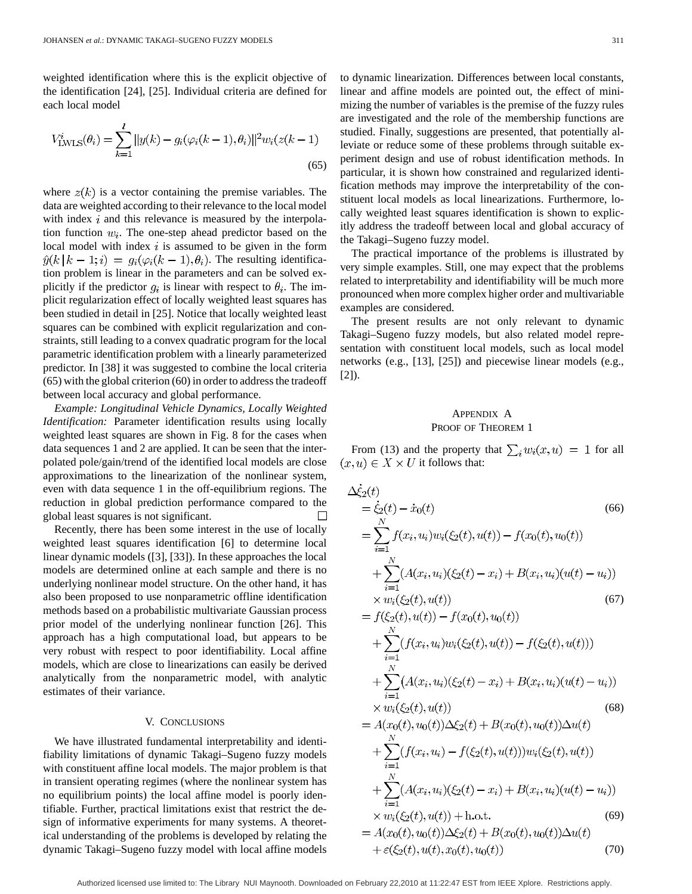weighted identification where this is the explicit objective of the identification [24], [25]. Individual criteria are defined for each local model

$$
V_{\text{LWLS}}^{i}(\theta_{i}) = \sum_{k=1}^{l} ||y(k) - g_{i}(\varphi_{i}(k-1), \theta_{i})||^{2} w_{i}(z(k-1))
$$
\n(65)

where  $z(k)$  is a vector containing the premise variables. The data are weighted according to their relevance to the local model with index  $i$  and this relevance is measured by the interpolation function  $w_i$ . The one-step ahead predictor based on the local model with index  $i$  is assumed to be given in the form  $\hat{y}(k | k - 1; i) = g_i(\varphi_i(k - 1), \theta_i)$ . The resulting identification problem is linear in the parameters and can be solved explicitly if the predictor  $g_i$  is linear with respect to  $\theta_i$ . The implicit regularization effect of locally weighted least squares has been studied in detail in [25]. Notice that locally weighted least squares can be combined with explicit regularization and constraints, still leading to a convex quadratic program for the local parametric identification problem with a linearly parameterized predictor. In [38] it was suggested to combine the local criteria (65) with the global criterion (60) in order to address the tradeoff between local accuracy and global performance.

*Example: Longitudinal Vehicle Dynamics, Locally Weighted Identification:* Parameter identification results using locally weighted least squares are shown in Fig. 8 for the cases when data sequences 1 and 2 are applied. It can be seen that the interpolated pole/gain/trend of the identified local models are close approximations to the linearization of the nonlinear system, even with data sequence 1 in the off-equilibrium regions. The reduction in global prediction performance compared to the global least squares is not significant.

Recently, there has been some interest in the use of locally weighted least squares identification [6] to determine local linear dynamic models ([3], [33]). In these approaches the local models are determined online at each sample and there is no underlying nonlinear model structure. On the other hand, it has also been proposed to use nonparametric offline identification methods based on a probabilistic multivariate Gaussian process prior model of the underlying nonlinear function [26]. This approach has a high computational load, but appears to be very robust with respect to poor identifiability. Local affine models, which are close to linearizations can easily be derived analytically from the nonparametric model, with analytic estimates of their variance.

## V. CONCLUSIONS

We have illustrated fundamental interpretability and identifiability limitations of dynamic Takagi–Sugeno fuzzy models with constituent affine local models. The major problem is that in transient operating regimes (where the nonlinear system has no equilibrium points) the local affine model is poorly identifiable. Further, practical limitations exist that restrict the design of informative experiments for many systems. A theoretical understanding of the problems is developed by relating the dynamic Takagi–Sugeno fuzzy model with local affine models to dynamic linearization. Differences between local constants, linear and affine models are pointed out, the effect of minimizing the number of variables is the premise of the fuzzy rules are investigated and the role of the membership functions are studied. Finally, suggestions are presented, that potentially alleviate or reduce some of these problems through suitable experiment design and use of robust identification methods. In particular, it is shown how constrained and regularized identification methods may improve the interpretability of the constituent local models as local linearizations. Furthermore, locally weighted least squares identification is shown to explicitly address the tradeoff between local and global accuracy of the Takagi–Sugeno fuzzy model.

The practical importance of the problems is illustrated by very simple examples. Still, one may expect that the problems related to interpretability and identifiability will be much more pronounced when more complex higher order and multivariable examples are considered.

The present results are not only relevant to dynamic Takagi–Sugeno fuzzy models, but also related model representation with constituent local models, such as local model networks (e.g., [13], [25]) and piecewise linear models (e.g., [2]).

## APPENDIX A PROOF OF THEOREM 1

From (13) and the property that  $\sum_i w_i(x, u) = 1$  for all  $(x, u) \in X \times U$  it follows that:

$$
\Delta \dot{\xi}_{2}(t) = \dot{\xi}_{2}(t) - \dot{x}_{0}(t) \qquad (66)
$$
\n
$$
= \sum_{i=1}^{N} f(x_{i}, u_{i}) w_{i}(\xi_{2}(t), u(t)) - f(x_{0}(t), u_{0}(t))
$$
\n
$$
+ \sum_{i=1}^{N} (A(x_{i}, u_{i})(\xi_{2}(t) - x_{i}) + B(x_{i}, u_{i})(u(t) - u_{i}))
$$
\n
$$
\times w_{i}(\xi_{2}(t), u(t)) \qquad (67)
$$
\n
$$
= f(\xi_{2}(t), u(t)) - f(x_{0}(t), u_{0}(t))
$$
\n
$$
+ \sum_{i=1}^{N} (f(x_{i}, u_{i}) w_{i}(\xi_{2}(t), u(t)) - f(\xi_{2}(t), u(t)))
$$
\n
$$
+ \sum_{i=1}^{N} (A(x_{i}, u_{i})(\xi_{2}(t) - x_{i}) + B(x_{i}, u_{i})(u(t) - u_{i}))
$$
\n
$$
\times w_{i}(\xi_{2}(t), u(t)) \qquad (68)
$$
\n
$$
= A(x_{0}(t), u_{0}(t)) \Delta \xi_{2}(t) + B(x_{0}(t), u_{0}(t)) \Delta u(t)
$$
\n
$$
+ \sum_{i=1}^{N} (f(x_{i}, u_{i}) - f(\xi_{2}(t), u(t))) w_{i}(\xi_{2}(t), u(t))
$$
\n
$$
+ \sum_{i=1}^{N} (A(x_{i}, u_{i})(\xi_{2}(t) - x_{i}) + B(x_{i}, u_{i})(u(t) - u_{i}))
$$
\n
$$
\times w_{i}(\xi_{2}(t), u(t)) + \text{h.o.t.} \qquad (69)
$$
\n
$$
= A(x_{0}(t), u_{0}(t)) \Delta \xi_{2}(t) + B(x_{0}(t), u_{0}(t)) \Delta u(t)
$$
\n
$$
+ \varepsilon(\xi_{2}(t), u(t), x_{0}(t)) u_{0}(t)) \qquad (70)
$$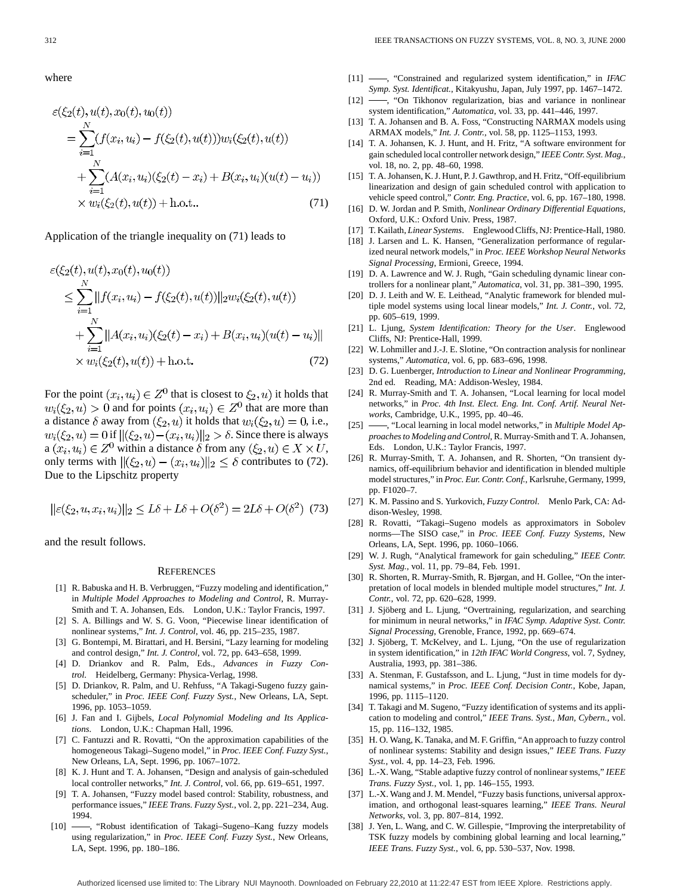where

$$
\varepsilon(\xi_2(t), u(t), x_0(t), u_0(t))
$$
\n
$$
= \sum_{i=1}^N (f(x_i, u_i) - f(\xi_2(t), u(t))) w_i(\xi_2(t), u(t))
$$
\n
$$
+ \sum_{i=1}^N (A(x_i, u_i)(\xi_2(t) - x_i) + B(x_i, u_i)(u(t) - u_i))
$$
\n
$$
\times w_i(\xi_2(t), u(t)) + \text{h.o.t.} \tag{71}
$$

Application of the triangle inequality on (71) leads to

$$
\varepsilon(\xi_2(t), u(t), x_0(t), u_0(t))
$$
\n
$$
\leq \sum_{i=1}^N ||f(x_i, u_i) - f(\xi_2(t), u(t))||_2 w_i(\xi_2(t), u(t))
$$
\n
$$
+ \sum_{i=1}^N ||A(x_i, u_i)(\xi_2(t) - x_i) + B(x_i, u_i)(u(t) - u_i)||
$$
\n
$$
\times w_i(\xi_2(t), u(t)) + \text{h.o.t.}
$$
\n(72)

For the point  $(x_i, u_i) \in Z^0$  that is closest to  $\xi_2, u$  it holds that  $w_i(\xi_2, u) > 0$  and for points  $(x_i, u_i) \in Z^0$  that are more than a distance  $\delta$  away from  $(\xi_2, u)$  it holds that  $w_i(\xi_2, u) = 0$ , i.e.,  $w_i(\xi_2, u) = 0$  if  $\|(\xi_2, u) - (x_i, u_i)\|_2 > \delta$ . Since there is always  $a(x_i, u_i) \in Z^0$  within a distance  $\delta$  from any  $(\xi_2, u) \in X \times U$ , only terms with  $||(\xi_2, u) - (x_i, u_i)||_2 \le \delta$  contributes to (72). Due to the Lipschitz property

$$
\|\varepsilon(\xi_2, u, x_i, u_i)\|_2 \le L\delta + L\delta + O(\delta^2) = 2L\delta + O(\delta^2)
$$
 (73)

and the result follows.

#### **REFERENCES**

- [1] R. Babuska and H. B. Verbruggen, "Fuzzy modeling and identification," in *Multiple Model Approaches to Modeling and Control*, R. Murray-Smith and T. A. Johansen, Eds. London, U.K.: Taylor Francis, 1997.
- [2] S. A. Billings and W. S. G. Voon, "Piecewise linear identification of nonlinear systems," *Int. J. Control*, vol. 46, pp. 215–235, 1987.
- [3] G. Bontempi, M. Birattari, and H. Bersini, "Lazy learning for modeling and control design," *Int. J. Control*, vol. 72, pp. 643–658, 1999.
- [4] D. Driankov and R. Palm, Eds., *Advances in Fuzzy Control*. Heidelberg, Germany: Physica-Verlag, 1998.
- [5] D. Driankov, R. Palm, and U. Rehfuss, "A Takagi-Sugeno fuzzy gainscheduler," in *Proc. IEEE Conf. Fuzzy Syst.*, New Orleans, LA, Sept. 1996, pp. 1053–1059.
- [6] J. Fan and I. Gijbels, *Local Polynomial Modeling and Its Applications*. London, U.K.: Chapman Hall, 1996.
- [7] C. Fantuzzi and R. Rovatti, "On the approximation capabilities of the homogeneous Takagi–Sugeno model," in *Proc. IEEE Conf. Fuzzy Syst.*, New Orleans, LA, Sept. 1996, pp. 1067–1072.
- [8] K. J. Hunt and T. A. Johansen, "Design and analysis of gain-scheduled local controller networks," *Int. J. Control*, vol. 66, pp. 619–651, 1997.
- [9] T. A. Johansen, "Fuzzy model based control: Stability, robustness, and performance issues," *IEEE Trans. Fuzzy Syst.*, vol. 2, pp. 221–234, Aug. 1994.
- [10] -, "Robust identification of Takagi-Sugeno-Kang fuzzy models using regularization," in *Proc. IEEE Conf. Fuzzy Syst.*, New Orleans, LA, Sept. 1996, pp. 180–186.
- [11]  $\rightarrow$ , "Constrained and regularized system identification," in *IFAC Symp. Syst. Identificat.*, Kitakyushu, Japan, July 1997, pp. 1467–1472.
- [12] -, "On Tikhonov regularization, bias and variance in nonlinear system identification," *Automatica*, vol. 33, pp. 441–446, 1997.
- [13] T. A. Johansen and B. A. Foss, "Constructing NARMAX models using ARMAX models," *Int. J. Contr.*, vol. 58, pp. 1125–1153, 1993.
- [14] T. A. Johansen, K. J. Hunt, and H. Fritz, "A software environment for gain scheduled local controller network design," *IEEE Contr. Syst. Mag.*, vol. 18, no. 2, pp. 48–60, 1998.
- [15] T. A. Johansen, K. J. Hunt, P. J. Gawthrop, and H. Fritz, "Off-equilibrium linearization and design of gain scheduled control with application to vehicle speed control," *Contr. Eng. Practice*, vol. 6, pp. 167–180, 1998.
- [16] D. W. Jordan and P. Smith, *Nonlinear Ordinary Differential Equations*, Oxford, U.K.: Oxford Univ. Press, 1987.
- [17] T. Kailath, *Linear Systems*. Englewood Cliffs, NJ: Prentice-Hall, 1980.
- [18] J. Larsen and L. K. Hansen, "Generalization performance of regularized neural network models," in *Proc. IEEE Workshop Neural Networks Signal Processing*, Ermioni, Greece, 1994.
- [19] D. A. Lawrence and W. J. Rugh, "Gain scheduling dynamic linear controllers for a nonlinear plant," *Automatica*, vol. 31, pp. 381–390, 1995.
- [20] D. J. Leith and W. E. Leithead, "Analytic framework for blended multiple model systems using local linear models," *Int. J. Contr.*, vol. 72, pp. 605–619, 1999.
- [21] L. Ljung, *System Identification: Theory for the User*. Englewood Cliffs, NJ: Prentice-Hall, 1999.
- [22] W. Lohmiller and J.-J. E. Slotine, "On contraction analysis for nonlinear systems," *Automatica*, vol. 6, pp. 683–696, 1998.
- [23] D. G. Luenberger, *Introduction to Linear and Nonlinear Programming*, 2nd ed. Reading, MA: Addison-Wesley, 1984.
- [24] R. Murray-Smith and T. A. Johansen, "Local learning for local model networks," in *Proc. 4th Inst. Elect. Eng. Int. Conf. Artif. Neural Networks*, Cambridge, U.K., 1995, pp. 40–46.
- [25]  $\rightarrow$ , "Local learning in local model networks," in *Multiple Model Approaches to Modeling and Control*, R. Murray-Smith and T. A. Johansen, Eds. London, U.K.: Taylor Francis, 1997.
- [26] R. Murray-Smith, T. A. Johansen, and R. Shorten, "On transient dynamics, off-equilibrium behavior and identification in blended multiple model structures," in *Proc. Eur. Contr. Conf.*, Karlsruhe, Germany, 1999, pp. F1020–7.
- [27] K. M. Passino and S. Yurkovich, *Fuzzy Control*. Menlo Park, CA: Addison-Wesley, 1998.
- [28] R. Rovatti, "Takagi–Sugeno models as approximators in Sobolev norms—The SISO case," in *Proc. IEEE Conf. Fuzzy Systems*, New Orleans, LA, Sept. 1996, pp. 1060–1066.
- [29] W. J. Rugh, "Analytical framework for gain scheduling," *IEEE Contr. Syst. Mag.*, vol. 11, pp. 79–84, Feb. 1991.
- [30] R. Shorten, R. Murray-Smith, R. Bjørgan, and H. Gollee, "On the interpretation of local models in blended multiple model structures," *Int. J. Contr.*, vol. 72, pp. 620–628, 1999.
- [31] J. Sjöberg and L. Ljung, "Overtraining, regularization, and searching for minimum in neural networks," in *IFAC Symp. Adaptive Syst. Contr. Signal Processing*, Grenoble, France, 1992, pp. 669–674.
- [32] J. Sjöberg, T. McKelvey, and L. Ljung, "On the use of regularization in system identification," in *12th IFAC World Congress*, vol. 7, Sydney, Australia, 1993, pp. 381–386.
- [33] A. Stenman, F. Gustafsson, and L. Ljung, "Just in time models for dynamical systems," in *Proc. IEEE Conf. Decision Contr.*, Kobe, Japan, 1996, pp. 1115–1120.
- [34] T. Takagi and M. Sugeno, "Fuzzy identification of systems and its application to modeling and control," *IEEE Trans. Syst., Man, Cybern.*, vol. 15, pp. 116–132, 1985.
- [35] H. O. Wang, K. Tanaka, and M. F. Griffin, "An approach to fuzzy control of nonlinear systems: Stability and design issues," *IEEE Trans. Fuzzy Syst.*, vol. 4, pp. 14–23, Feb. 1996.
- [36] L.-X. Wang, "Stable adaptive fuzzy control of nonlinear systems," *IEEE Trans. Fuzzy Syst.*, vol. 1, pp. 146–155, 1993.
- [37] L.-X. Wang and J. M. Mendel, "Fuzzy basis functions, universal approximation, and orthogonal least-squares learning," *IEEE Trans. Neural Networks*, vol. 3, pp. 807–814, 1992.
- [38] J. Yen, L. Wang, and C. W. Gillespie, "Improving the interpretability of TSK fuzzy models by combining global learning and local learning," *IEEE Trans. Fuzzy Syst.*, vol. 6, pp. 530–537, Nov. 1998.